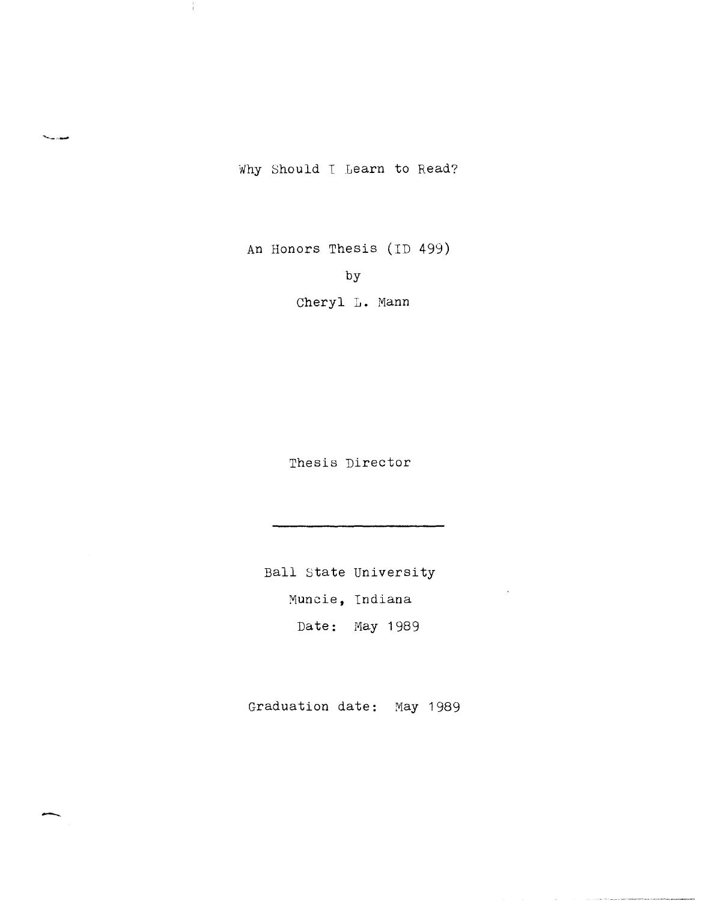Why Should I Learn to Read?

'.\_.-'-'

Ĵ.

-

An Honors Thesis (ID 499)

by

Cheryl L. Mann

Thesis Director

Ball state University Muncie, Indiana Date: May 1989

Graduation date: May 1989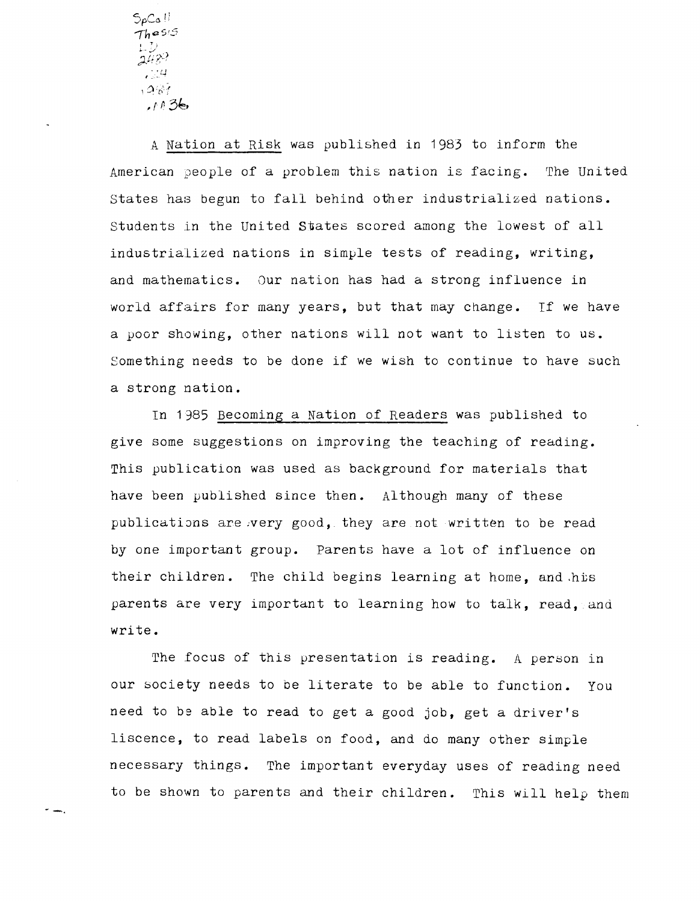$SpCo$ · . .', -.. '. -  $.987$ *, r* " 3~,

A Nation at Risk was published in 1983 to inform the American people of a problem this nation is facing. The United States has begun to fall behind other industrialized nations. Students in the United States scored among the lowest of all industrialized nations in simple tests of reading, writing, and mathematics. Our nation has had a strong influence in world affairs for many years, but that may change. If we have a yoor showing, other nations will not want to listen to us. Something needs to be done if we wish to continue to have such a strong nation.

In 1985 Becoming a Nation of Readers was published to give some suggestions on improving the teaching of reading. This publication was used as background for materials that have been published since then. Although many of these publications are very good, they are not written to be read by one important group. Parents have a lot of influence on their children. The child begins learning at home, and his parents are very important to learning how to talk, read, and write.

The focus of this presentation is reading. A person in our society needs to be literate to be able to function. You need to be able to read to get a good job, get a driver's liscence, to read labels on food, and do many other simple necessary things. The important everyday uses of reading need to be shown to parents and their children. This will help them

<sup>~</sup>-.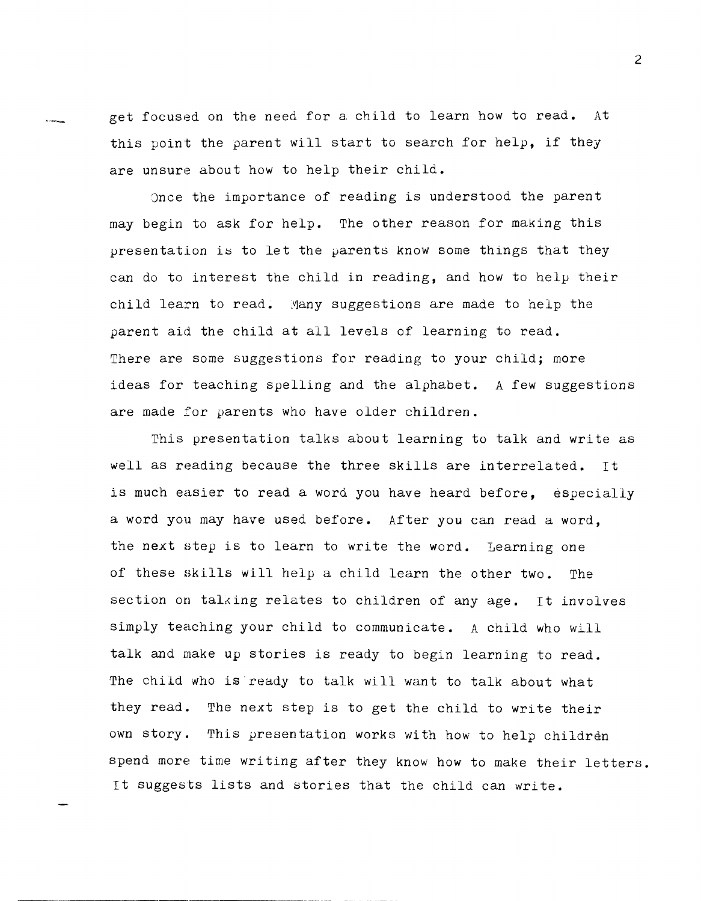get focused on the need for a child to learn how to read. At this point the parent will start to search for help, if they are unsure about how to help their child.

Once the importance of reading is understood the parent may begin to ask for help. The other reason for making this presentation is to let the parents know some things that they can do to interest the child in reading, and how to help their child learn to read. Many suggestions are made to help the parent aid the child at all levels of learning to read. There are some suggestions for reading to your child; more ideas for teaching spelling and the alphabet. A few suggestions are made for parents who have older children.

This presentation talks about learning to talk and write as well as reading because the three skills are interrelated. It is much easier to read a word you have heard before, especially a word you may have used before. After you can read a word, the next step is to learn to write the word. Learning one of these skills will help a child learn the other two. The section on talking relates to children of any age. It involves simply teaching your child to communicate. A child who will talk and make up stories is ready to begin learning to read. The child who is ready to talk will want to talk about what they read. The next step is to get the child to write their own story. This presentation works with how to help children spend more time writing after they know how to make their letters. It suggests lists and stories that the child can write.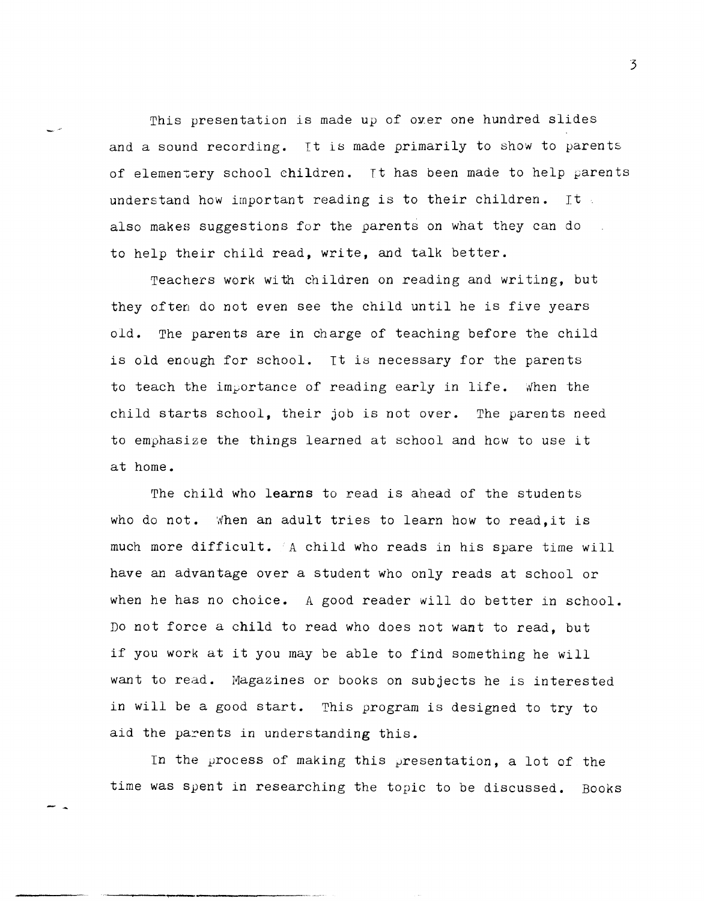This presentation is made up of over one hundred slides and a sound recording. It is made primarily to show to parents of elementery school children. It has been made to help parents understand how important reading is to their children. It also makes suggestions for the parents on what they can do to help their child read, write, and talk better.

Teachers work with children on reading and writing, but they often do not *even* see the child until he is five years old. The parents are in charge of teaching before the child is old enough for school. It is necessary for the parents to teach the importance of reading early in life. When the child starts school, their job is not over. The parents need to emphasize the things learned at school and how to use it at home.

The child who **learns** to read is ahead of the students who do not. When an adult tries to learn how to read, it is much more difficult. A child who reads in his spare time will have an advantage over a student who only reads at school or when he has no choice. A good reader will do better in school. Do not force a child to read who does not want to read, but if you work at it you may be able to find something he will want to read. Magazines or books on subjects he is interested in will be a good start. This program is designed to try to aid the parents in understanding this.

In the process of making this presentation, a lot af the time was spent in researching the topic to be discussed. Books

- -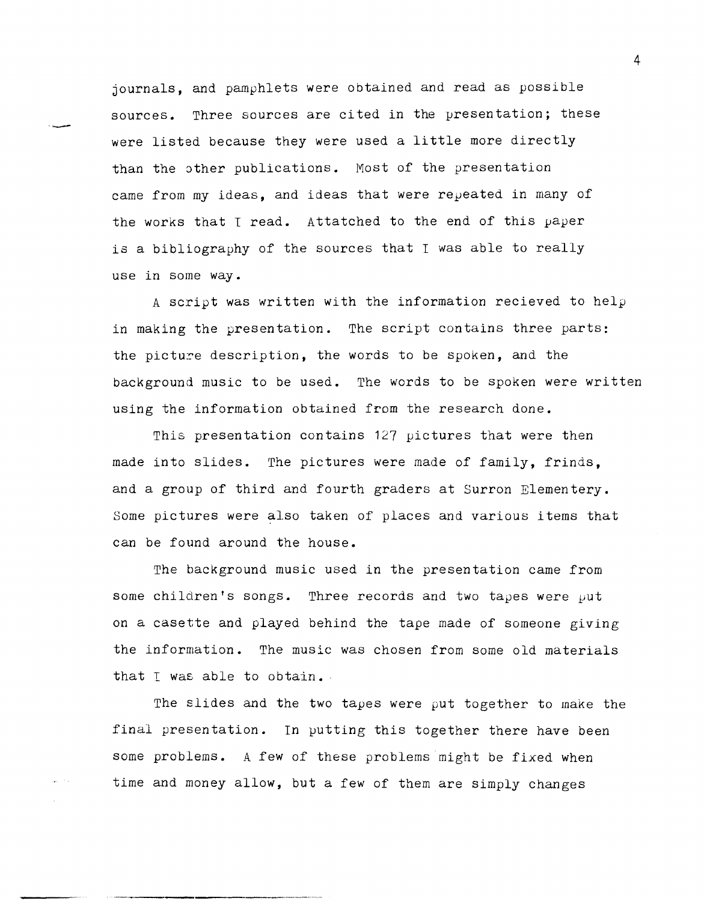journals, and pamphlets were obtained and read as possible sources. Three sources are cited in the presentation; these were listed because they were used a little more directly than the other publications. Most of the presentation came from my ideas, and ideas that were repeated in many of the works that I read. Attatched to the end of this paper is a bibliography of the sources that  $I$  was able to really use in some way.

--

A script was written with the information recieved to help in making the presentation. The script contains three parts: the picture description, the words to be spoken, and the background music to be used. The words to be spoken were written using the information obtained from the research done.

This presentation contains 127 pictures that were then made into slides. The pictures were made of family, frinds, and a group of third and fourth graders at Surron Elementery. Some pictures were also taken of places and various items that can be found around the house.

The background music used in the presentation came from some children's songs. Three records and two tapes were *put*  on a casette and played behind the tape made of someone giving the information. The music was chosen from some old materials that I was able to obtain.

The slides and the two tapes were put together to make the final presentation. In putting this together there have been some problems. A few of these problems might be fixed when time and money allow, but a few of them are simply changes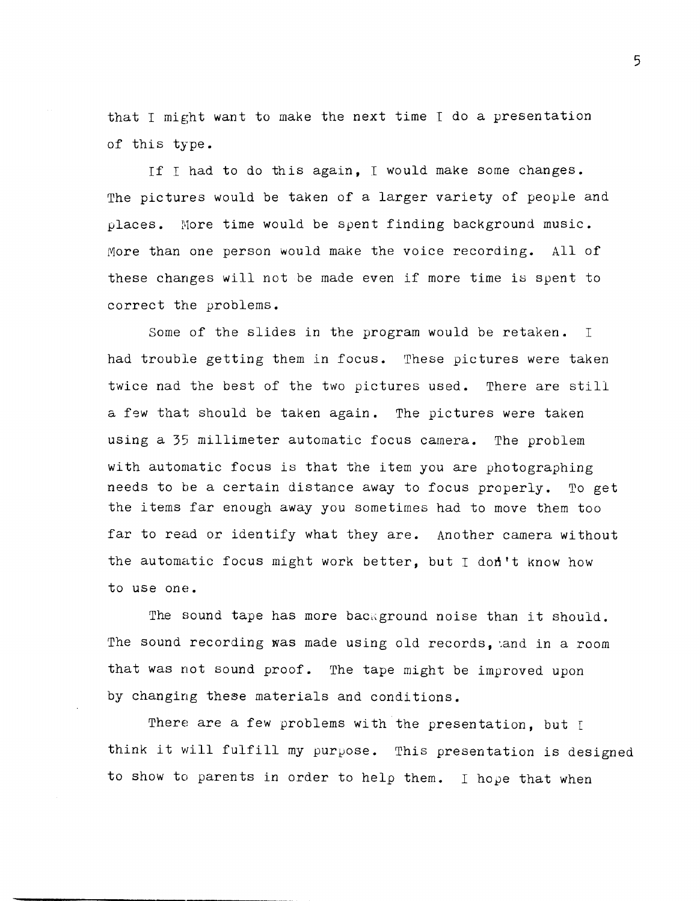that I might want to make the next time I do a presentation of this type.

If I had to do this again, I would make some changes. The pictures would be taken of a larger variety of people and places. More time would be spent finding background music. More than one person would make the voice recording. All of these changes will not be made even if more time is spent to correct the problems.

Some of the slides in the program would be retaken. I had trouble getting them in focus. These pictures were taken twice nad the best of the two pictures used. There are still a few that should be taken again. The pictures were taken using a 35 millimeter automatic focus camera. The problem with automatic focus is that the item you are photographing needs to be a certain distance away to focus properly. To get the items far enough away you sometimes had to move them too far to read or identify what they are. Another camera without the automatic focus might work better, but I don't know how to use one.

The sound tape has more background noise than it should. The sound recording was made using old records, and in a room that was not sound proof. The tape might be improved upon by changing these materials and conditions.

There are a few problems with the presentation, but I think it will fulfill my purpose. This presentation is designed to show to parents in order to help them. I hope that when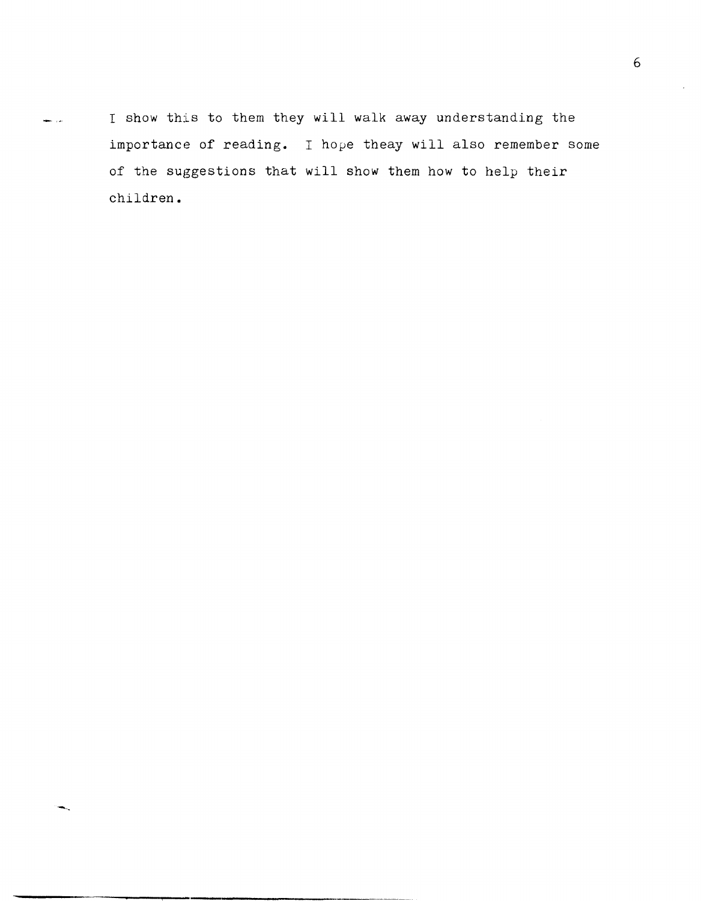I show this to them they will walk away understanding the للأرابط importance of reading. I hope theay will also remember some of the suggestions that will show them how to help their children.

-'-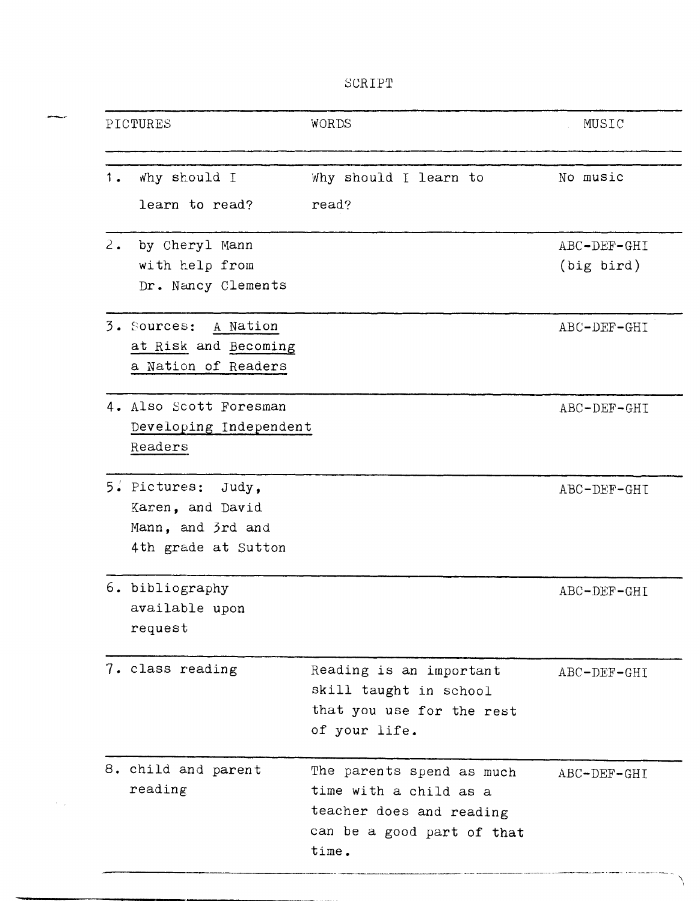SCRIPT

|       | PICTURES                                                                              | WORDS                                                                                                                  | MUSIC         |
|-------|---------------------------------------------------------------------------------------|------------------------------------------------------------------------------------------------------------------------|---------------|
| 1.    | why should I                                                                          | Why should I learn to                                                                                                  | No music      |
|       | learn to read?                                                                        | read?                                                                                                                  |               |
| $2$ . | by Cheryl Mann                                                                        |                                                                                                                        | ABC-DEF-GHI   |
|       | with help from<br>Dr. Nancy Clements                                                  |                                                                                                                        | $(big\;bird)$ |
|       | 3. Sources: A Nation<br>at Risk and Becoming<br>a Nation of Readers                   |                                                                                                                        | ABC-DEF-GHI   |
|       | 4. Also Scott Foresman<br>Developing Independent<br>Readers                           |                                                                                                                        | ABC-DEF-GHI   |
|       | 5. Pictures:<br>Judy,<br>Karen, and David<br>Mann, and 3rd and<br>4th grade at Sutton |                                                                                                                        | ABC-DEF-GHI   |
|       | 6. bibliography<br>available upon<br>request                                          |                                                                                                                        | ABC-DEF-GHI   |
|       | 7. class reading                                                                      | Reading is an important<br>skill taught in school<br>that you use for the rest<br>of your life.                        | ABC-DEF-GHI   |
|       | 8. child and parent<br>reading                                                        | The parents spend as much<br>time with a child as a<br>teacher does and reading<br>can be a good part of that<br>time. | ABC-DEF-GHI   |

an<br>Maria Santo

 $\langle \cdot \rangle_{\rm{in}}$ 

 $\Delta$ 

an a surface of the components of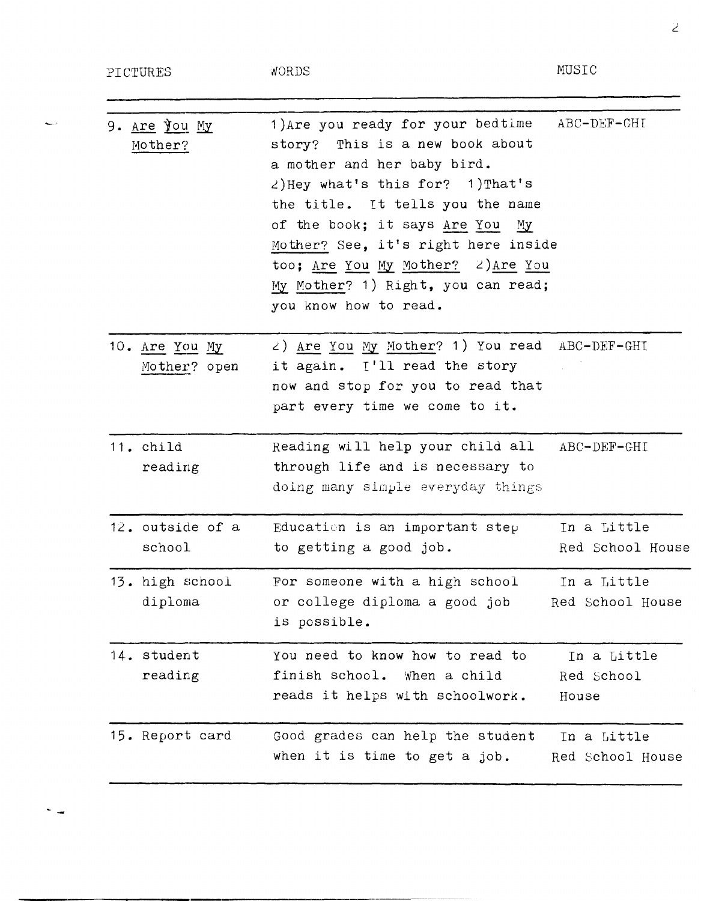PICTURES

 $\overline{\phantom{a}}$ 

 $\sim$   $\omega$ 

NORDS

MUSIC

| 9. Are you My                  | 1) Are you ready for your bedtime<br>story? This is a new book about                                                                                                                                                                                                                         | $ABC-DEF-GHT$                      |
|--------------------------------|----------------------------------------------------------------------------------------------------------------------------------------------------------------------------------------------------------------------------------------------------------------------------------------------|------------------------------------|
| Mother?                        | a mother and her baby bird.<br>$\angle$ )Hey what's this for? 1)That's<br>the title. It tells you the name<br>of the book; it says Are You<br>Мy<br>Mother? See, it's right here inside<br>too; Are You My Mother? 2) Are You<br>My Mother? 1) Right, you can read;<br>you know how to read. |                                    |
| 10. Are You My<br>Mother? open | 2) Are You My Mother? 1) You read ABC-DEF-GHI<br>it again. ['ll read the story<br>now and stop for you to read that<br>part every time we come to it.                                                                                                                                        |                                    |
| 11. child<br>reading           | Reading will help your child all<br>through life and is necessary to<br>doing many simple everyday things                                                                                                                                                                                    | ABC-DEF-GHI                        |
| 12. outside of a<br>school     | Education is an important step<br>to getting a good job.                                                                                                                                                                                                                                     | In a Little<br>Red School House    |
| 13. high school<br>diploma     | For someone with a high school<br>or college diploma a good job<br>is possible.                                                                                                                                                                                                              | In a Little<br>Red School House    |
| 14. student<br>reading         | You need to know how to read to<br>finish school.<br>When a child<br>reads it helps with schoolwork.                                                                                                                                                                                         | In a Little<br>Red School<br>House |
| 15. Report card                | Good grades can help the student<br>when it is time to get a job.                                                                                                                                                                                                                            | In a Little<br>Red School House    |

 $\overline{z}$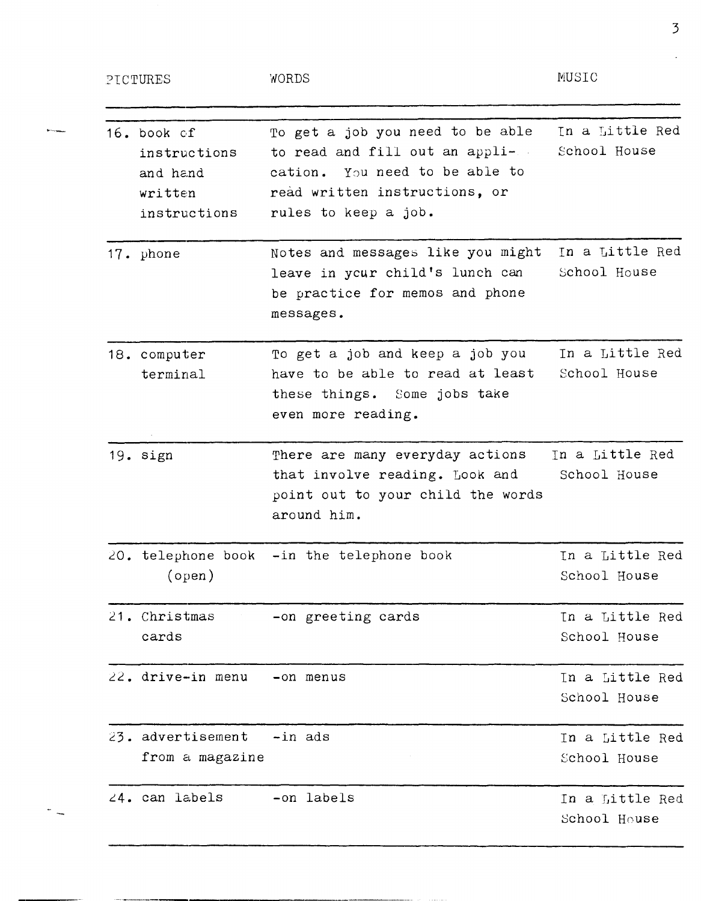| PICTURES                                                           | WORDS                                                                                                                                                                         | MUSIC                           |
|--------------------------------------------------------------------|-------------------------------------------------------------------------------------------------------------------------------------------------------------------------------|---------------------------------|
| 16. book of<br>instructions<br>and hand<br>written<br>instructions | To get a job you need to be able<br>to read and fill out an appli-<br>$\sim 10$<br>You need to be able to<br>cation.<br>read written instructions, or<br>rules to keep a job. | In a Little Red<br>School House |
| 17. phone                                                          | Notes and messages like you might<br>leave in your child's lunch can<br>be practice for memos and phone<br>messages.                                                          | In a Little Red<br>School House |
| 18. computer<br>terminal                                           | To get a job and keep a job you<br>have to be able to read at least<br>these things. Some jobs take<br>even more reading.                                                     | In a Little Red<br>School House |
| 19. sign                                                           | There are many everyday actions<br>that involve reading. Look and<br>point out to your child the words<br>around him.                                                         | In a Little Red<br>School House |
| $(\text{open})$                                                    | 20. telephone book -in the telephone book                                                                                                                                     | In a Little Red<br>School House |
| 21. Christmas<br>cards                                             | -on greeting cards                                                                                                                                                            | In a Little Red<br>School House |
| 22. drive-in menu                                                  | -on menus                                                                                                                                                                     | In a Little Red<br>School House |
| 23. advertisement<br>from a magazine                               | -in ads                                                                                                                                                                       | In a Little Red<br>School House |
| $24.$ can labels                                                   | -on labels                                                                                                                                                                    | In a Little Red<br>School House |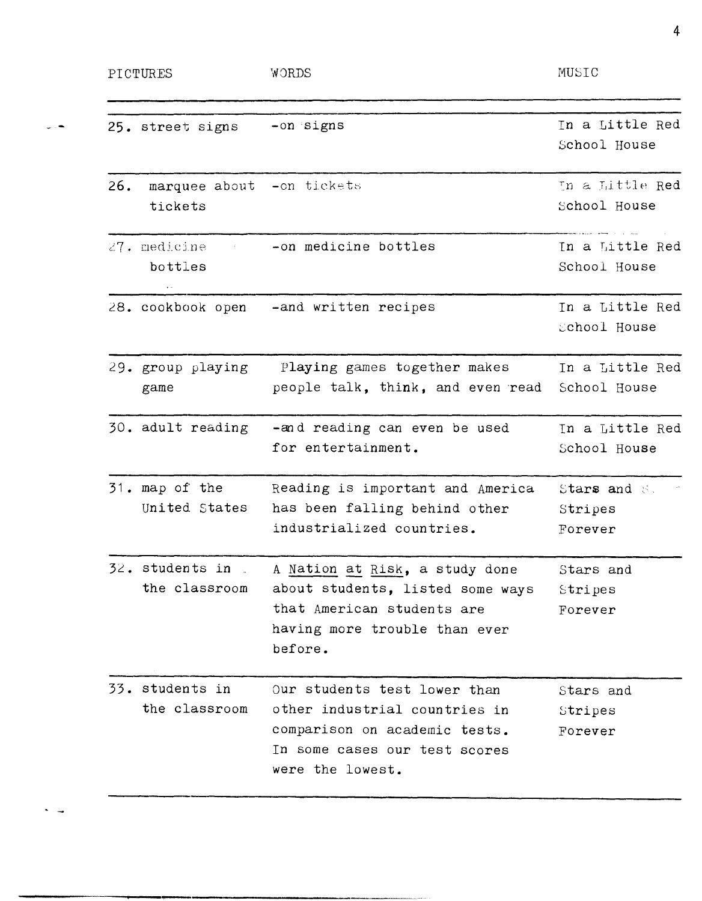| PICTURES |                                      | WORDS                                                                                                                                               | MUSIC                              |  |
|----------|--------------------------------------|-----------------------------------------------------------------------------------------------------------------------------------------------------|------------------------------------|--|
|          | 25. street signs                     | -on signs                                                                                                                                           | In a Little Red<br>School House    |  |
| 26.      | marquee about -on tickets<br>tickets |                                                                                                                                                     | In a Little Red<br>School House    |  |
|          | 27. medicine<br>bottles              | -on medicine bottles                                                                                                                                | In a Little Red<br>School House    |  |
|          |                                      | 28. cookbook open -and written recipes                                                                                                              | In a Little Red<br>School House    |  |
|          | 29. group playing<br>game            | Playing games together makes<br>people talk, think, and even read                                                                                   | In a Little Red<br>School House    |  |
|          | 30. adult reading                    | -and reading can even be used<br>for entertainment.                                                                                                 | In a Little Red<br>School House    |  |
|          | 31. map of the<br>United States      | Reading is important and America<br>has been falling behind other<br>industrialized countries.                                                      | Stars and S.<br>Stripes<br>Forever |  |
|          | 32. students in J<br>the classroom   | A Nation at Risk, a study done<br>about students, listed some ways<br>that American students are<br>having more trouble than ever<br>before.        | Stars and<br>Stripes<br>Forever    |  |
|          | 33. students in<br>the classroom     | Our students test lower than<br>other industrial countries in<br>comparison on academic tests.<br>In some cases our test scores<br>were the lowest. | Stars and<br>Stripes<br>Forever    |  |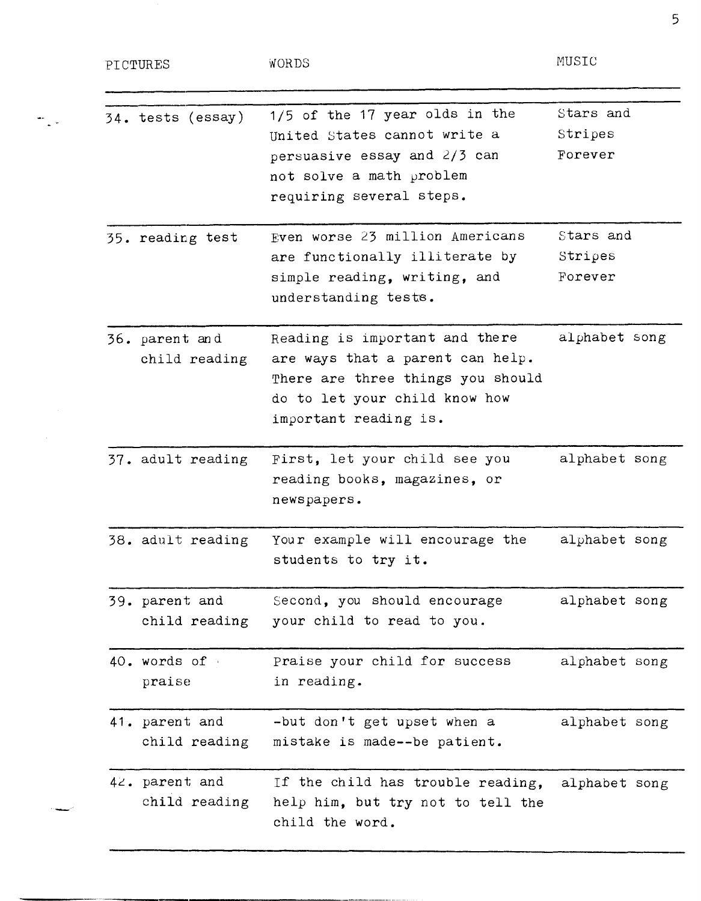| PICTURES                        | WORDS                                                                                                                                                             | MUSIC                           |
|---------------------------------|-------------------------------------------------------------------------------------------------------------------------------------------------------------------|---------------------------------|
| 34. tests (essay)               | 1/5 of the 17 year olds in the<br>United States cannot write a<br>persuasive essay and 2/3 can<br>not solve a math problem<br>requiring several steps.            | Stars and<br>Stripes<br>Forever |
| 35. reading test                | Even worse 23 million Americans<br>are functionally illiterate by<br>simple reading, writing, and<br>understanding tests.                                         | Stars and<br>Stripes<br>Forever |
| 36. parent and<br>child reading | Reading is important and there<br>are ways that a parent can help.<br>There are three things you should<br>do to let your child know how<br>important reading is. | alphabet song                   |
| 37. adult reading               | First, let your child see you<br>reading books, magazines, or<br>newspapers.                                                                                      | alphabet song                   |
| 38. adult reading               | Your example will encourage the<br>students to try it.                                                                                                            | alphabet song                   |
| 39. parent and<br>child reading | Second, you should encourage<br>your child to read to you.                                                                                                        | alphabet song                   |
| 40. words of<br>praise          | Praise your child for success<br>in reading.                                                                                                                      | alphabet song                   |
| 41. parent and<br>child reading | -but don't get upset when a<br>mistake is made--be patient.                                                                                                       | alphabet song                   |
| 42. parent and<br>child reading | If the child has trouble reading,<br>help him, but try not to tell the<br>child the word.                                                                         | alphabet song                   |

5

-"

mije.

 $\alpha_{\rm{max}}$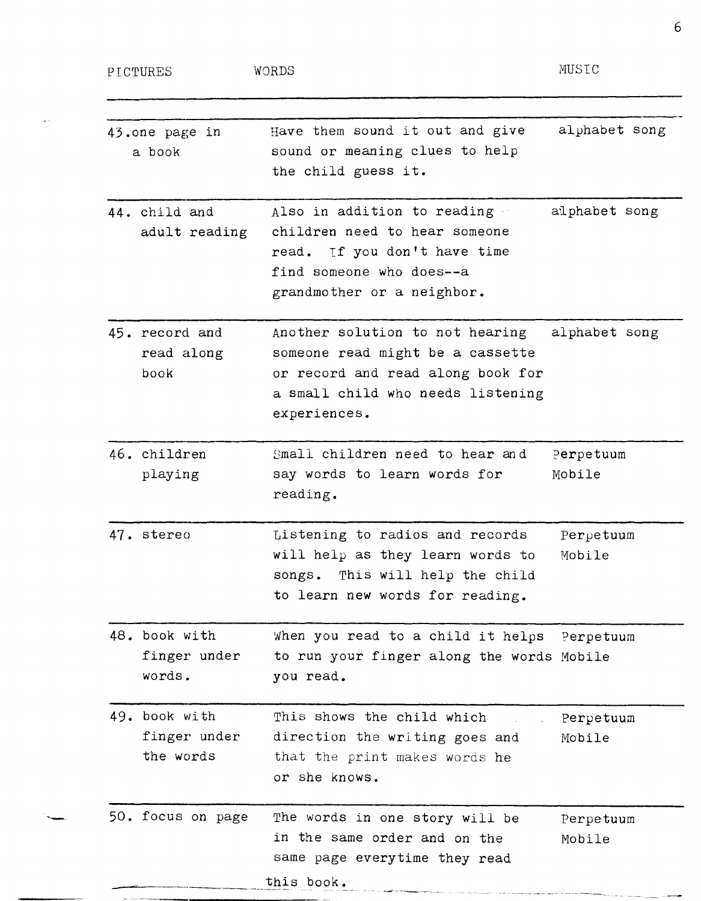PICTURES

 $\omega$  .

MUSIC

| 44. child and<br>adult reading<br>find someone who does--a<br>45. record and<br>read along<br>book<br>experiences.<br>46. children<br>playing<br>reading.<br>47. stereo<br>48. book with<br>finger under<br>words.<br>you read.<br>49. book with<br>finger under<br>the words<br>or she knows. | the child guess it.                                                                                                                           |                     |
|------------------------------------------------------------------------------------------------------------------------------------------------------------------------------------------------------------------------------------------------------------------------------------------------|-----------------------------------------------------------------------------------------------------------------------------------------------|---------------------|
|                                                                                                                                                                                                                                                                                                | Also in addition to reading<br>children need to hear someone<br>read. If you don't have time<br>grandmother or a neighbor.                    | alphabet song       |
|                                                                                                                                                                                                                                                                                                | Another solution to not hearing<br>someone read might be a cassette<br>or record and read along book for<br>a small child who needs listening | alphabet song       |
|                                                                                                                                                                                                                                                                                                | Small children need to hear and<br>say words to learn words for                                                                               | Perpetuum<br>Mobile |
|                                                                                                                                                                                                                                                                                                | Listening to radios and records<br>will help as they learn words to<br>songs. This will help the child<br>to learn new words for reading.     | Perpetuum<br>Mobile |
|                                                                                                                                                                                                                                                                                                | When you read to a child it helps Perpetuum<br>to run your finger along the words Mobile                                                      |                     |
|                                                                                                                                                                                                                                                                                                | This shows the child which<br>direction the writing goes and<br>that the print makes words he                                                 | Perpetuum<br>Mobile |
| 50. focus on page<br>this book.                                                                                                                                                                                                                                                                | The words in one story will be<br>in the same order and on the<br>same page everytime they read                                               | Perpetuum<br>Mobile |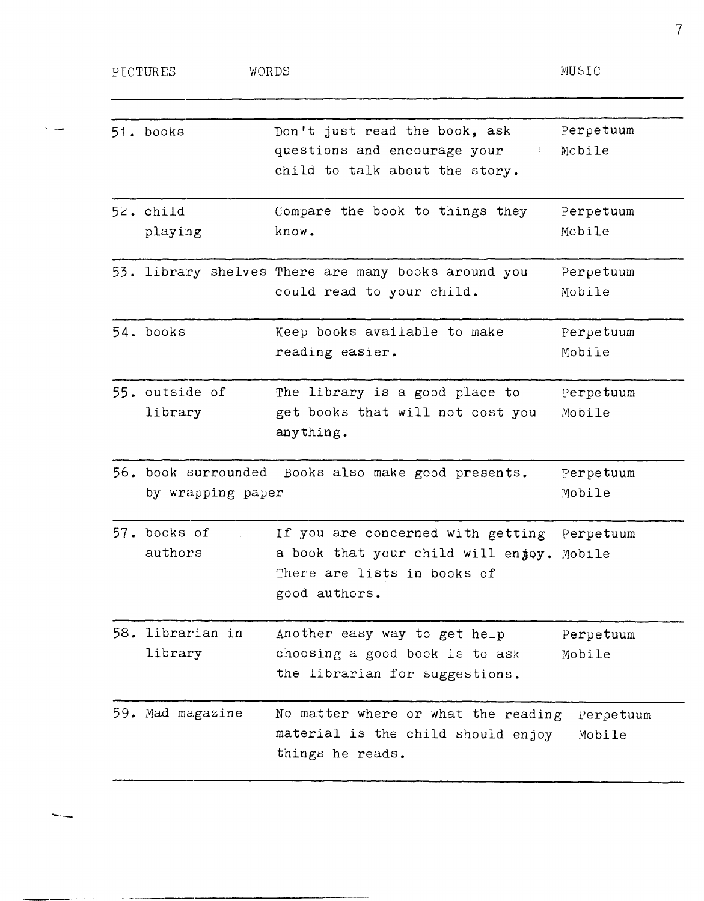| PICTURES<br>WORDS           |                                                                                                                                          | MUSIC               |
|-----------------------------|------------------------------------------------------------------------------------------------------------------------------------------|---------------------|
| 51. books                   | Don't just read the book, ask<br>questions and encourage your<br>child to talk about the story.                                          | Perpetuum<br>Mobile |
| 52. child<br>playing        | Compare the book to things they<br>know.                                                                                                 | Perpetuum<br>Mobile |
|                             | 53. library shelves There are many books around you<br>could read to your child.                                                         | Perpetuum<br>Mobile |
| 54. books                   | Keep books available to make<br>reading easier.                                                                                          | Perpetuum<br>Mobile |
| 55. outside of<br>library   | The library is a good place to<br>get books that will not cost you<br>anything.                                                          | Perpetuum<br>Mobile |
| by wrapping paper           | 56. book surrounded Books also make good presents.                                                                                       | Perpetuum<br>Mobile |
| 57. books of<br>authors     | If you are concerned with getting Perpetuum<br>a book that your child will enjoy. Mobile<br>There are lists in books of<br>good authors. |                     |
| 58. librarian in<br>library | Another easy way to get help<br>choosing a good book is to ask<br>the librarian for suggestions.                                         | Perpetuum<br>Mobile |
| 59. Mad magazine            | No matter where or what the reading<br>material is the child should enjoy<br>things he reads.                                            | Perpetuum<br>Mobile |

--

سدح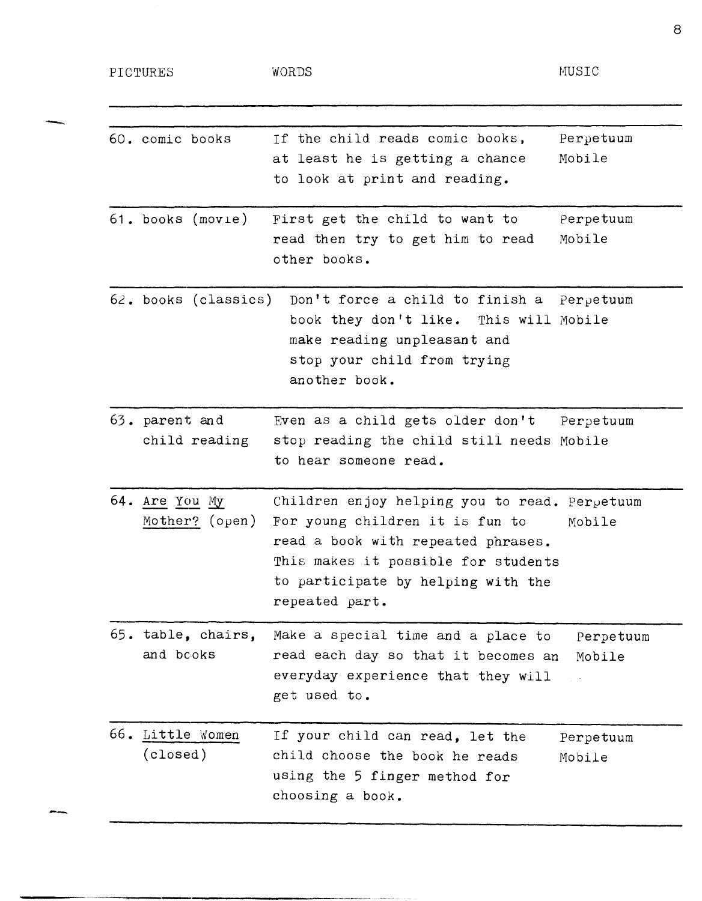PICTURES

"-

-

-----------------------------------------

WORDS

MUSIC

| 60. comic books                  | Perpetuum<br>If the child reads comic books,<br>at least he is getting a chance<br>Mobile<br>to look at print and reading.                                                                                                      |
|----------------------------------|---------------------------------------------------------------------------------------------------------------------------------------------------------------------------------------------------------------------------------|
| 61. books (movie)                | First get the child to want to<br>Perpetuum<br>read then try to get him to read<br>Mobile<br>other books.                                                                                                                       |
| 62. books (classics)             | Don't force a child to finish a Perpetuum<br>book they don't like. This will Mobile<br>make reading unpleasant and<br>stop your child from trying<br>another book.                                                              |
| 63. parent and<br>child reading  | Even as a child gets older don't<br>Perpetuum<br>stop reading the child still needs Mobile<br>to hear someone read.                                                                                                             |
| 64. Are You My<br>Mother? (open) | Children enjoy helping you to read. Perpetuum<br>For young children it is fun to<br>Mobile<br>read a book with repeated phrases.<br>This makes it possible for students<br>to participate by helping with the<br>repeated part. |
| 65. table, chairs,<br>and books  | Make a special time and a place to<br>Perpetuum<br>read each day so that it becomes an<br>Mobile<br>everyday experience that they will<br>get used to.                                                                          |
| 66. Little Women<br>(closed)     | If your child can read, let the<br>Perpetuum<br>child choose the book he reads<br>Mobile<br>using the 5 finger method for<br>choosing a book.                                                                                   |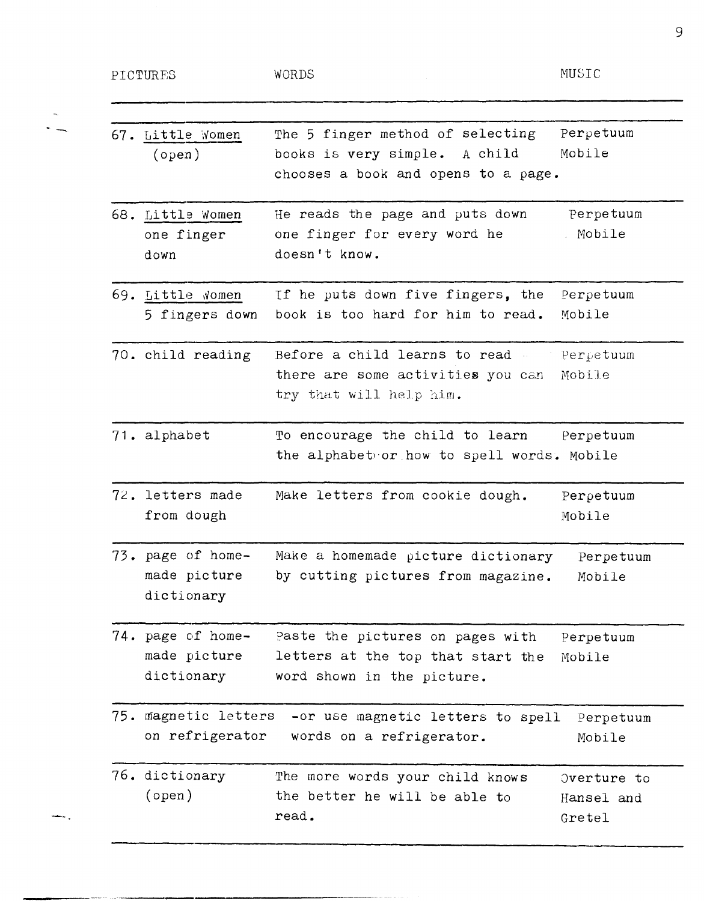PICTURES

 $\ddot{ }$ 

 $\frac{1}{2}$  .

WORDS

-------------.---------------

MUSIC

| 67. Little Women<br>(open)                      | The 5 finger method of selecting<br>books is very simple.<br>A child<br>chooses a book and opens to a page. | Perpetuum<br>Mobile                 |
|-------------------------------------------------|-------------------------------------------------------------------------------------------------------------|-------------------------------------|
| 68. Little Women<br>one finger<br>down          | He reads the page and puts down<br>one finger for every word he<br>doesn't know.                            | Perpetuum<br>Mobile                 |
| 69. Little Women<br>5 fingers down              | If he puts down five fingers, the<br>book is too hard for him to read.                                      | Perpetuum<br>Mobile                 |
| 70. child reading                               | Before a child learns to read -<br>there are some activities you can<br>try that will help him.             | Perpetuum<br>Mobile                 |
| 71. alphabet                                    | To encourage the child to learn<br>the alphabet or how to spell words. Mobile                               | Perpetuum                           |
| 72. letters made<br>from dough                  | Make letters from cookie dough.                                                                             | Perpetuum<br>Mobile                 |
| 73. page of home-<br>made picture<br>dictionary | Make a homemade picture dictionary<br>by cutting pictures from magazine.                                    | Perpetuum<br>Mobile                 |
| 74. page of home-<br>made picture<br>dictionary | Paste the pictures on pages with<br>letters at the top that start the<br>word shown in the picture.         | Perpetuum<br>Mobile                 |
| 75. magnetic letters<br>on refrigerator         | -or use magnetic letters to spell<br>words on a refrigerator.                                               | Perpetuum<br>Mobile                 |
| 76. dictionary<br>(open)                        | The more words your child knows<br>the better he will be able to<br>read.                                   | Overture to<br>Hansel and<br>Gretel |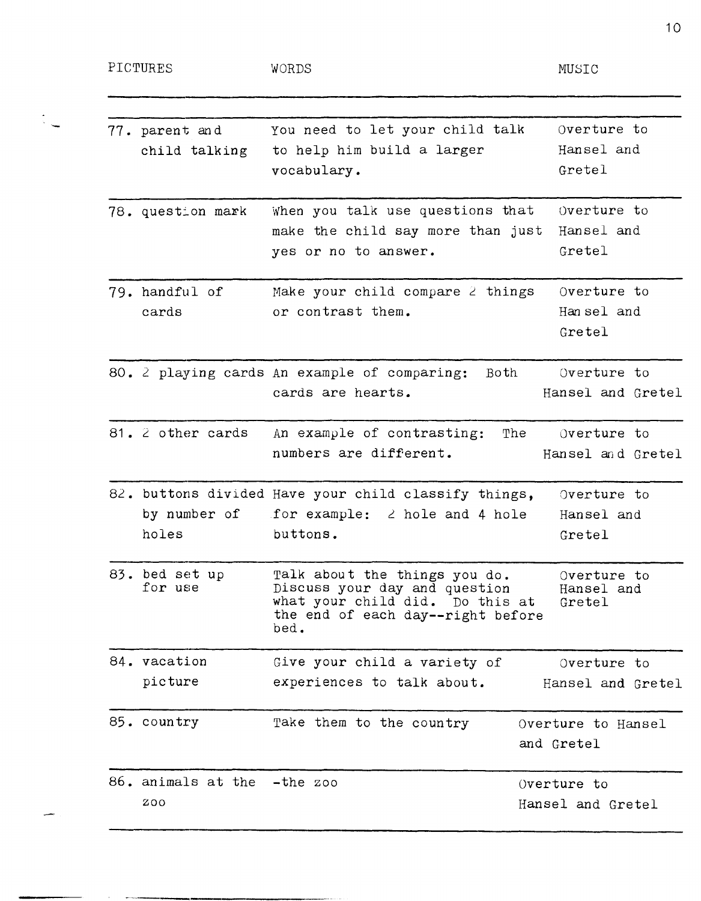$\ddot{\ddot{\xi}}$ 

بسر

---------------

| 77. parent and<br>child talking    | You need to let your child talk<br>to help him build a larger<br>vocabulary.                                                                   | Overture to<br>Hansel and<br>Gretel     |
|------------------------------------|------------------------------------------------------------------------------------------------------------------------------------------------|-----------------------------------------|
| 78. question mark                  | When you talk use questions that<br>make the child say more than just<br>yes or no to answer.                                                  | Overture to<br>Hansel and<br>Gretel     |
| 79. handful of<br>cards            | Make your child compare 2 things<br>or contrast them.                                                                                          | Overture to<br>Han sel and<br>Gretel    |
|                                    | 80. 2 playing cards An example of comparing:<br>Both<br>cards are hearts.                                                                      | Overture to<br>Hansel and Gretel        |
| 81. 2 other cards                  | An example of contrasting:<br>numbers are different.                                                                                           | The<br>Overture to<br>Hansel and Gretel |
| holes                              | 82. buttons divided Have your child classify things,<br>by number of for example: $\angle$ hole and 4 hole<br>buttons.                         | Overture to<br>Hansel and<br>Gretel     |
| 83. bed set up<br>for use          | Talk about the things you do.<br>Discuss your day and question<br>what your child did. Do this at<br>the end of each day--right before<br>bed. | Overture to<br>Hansel and<br>Gretel     |
| 84. vacation                       | Give your child a variety of                                                                                                                   | Overture to                             |
| picture                            | experiences to talk about.                                                                                                                     | Hansel and Gretel                       |
| 85. country                        | Take them to the country                                                                                                                       | Overture to Hansel<br>and Gretel        |
| 86. animals at the -the zoo<br>200 |                                                                                                                                                | Overture to<br>Hansel and Gretel        |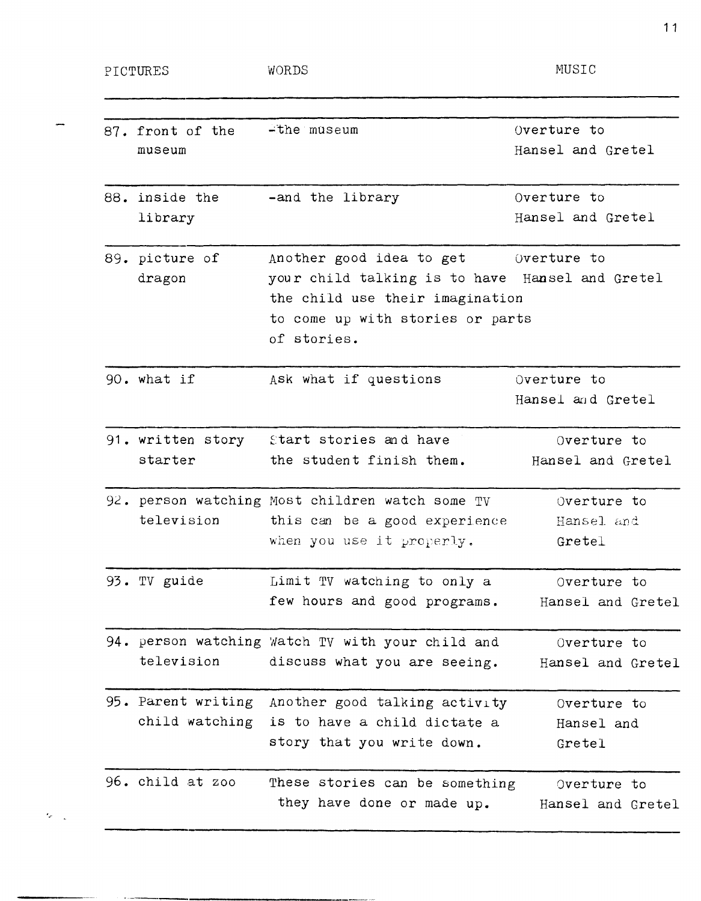-----------------------------

 $\epsilon_{\rm g}$ 

MUSIC

| 87. front of the<br>museum | -the museum                                      | Overture to<br>Hansel and Gretel |
|----------------------------|--------------------------------------------------|----------------------------------|
| 88. inside the             | -and the library                                 | Overture to                      |
| library                    |                                                  | Hansel and Gretel                |
| 89. picture of             | Another good idea to get (verture to             |                                  |
| dragon                     | your child talking is to have Hansel and Gretel  |                                  |
|                            | the child use their imagination                  |                                  |
|                            | to come up with stories or parts                 |                                  |
|                            | of stories.                                      |                                  |
| 90. what if                | Ask what if questions                            | Overture to                      |
|                            |                                                  | Hansel and Gretel                |
| 91. written story          | Start stories and have                           | Overture to                      |
| starter                    | the student finish them.                         | Hansel and Gretel                |
|                            | 92. person watching Most children watch some TV  | Overture to                      |
| television                 | this can be a good experience                    | Hansel and                       |
|                            | when you use it properly.                        | Gretel                           |
| 93. TV guide               | Limit TV watching to only a                      | Overture to                      |
|                            | few hours and good programs.                     | Hansel and Gretel                |
|                            | 94. person watching Watch TV with your child and | Overture to                      |
| television                 | discuss what you are seeing.                     | Hansel and Gretel                |
| 95. Parent writing         | Another good talking activity                    | Overture to                      |
| child watching             | is to have a child dictate a                     | Hansel and                       |
|                            | story that you write down.                       | Gretel                           |
| 96. child at zoo           | These stories can be something                   | Overture to                      |
|                            | they have done or made up.                       | Hansel and Gretel                |
|                            |                                                  |                                  |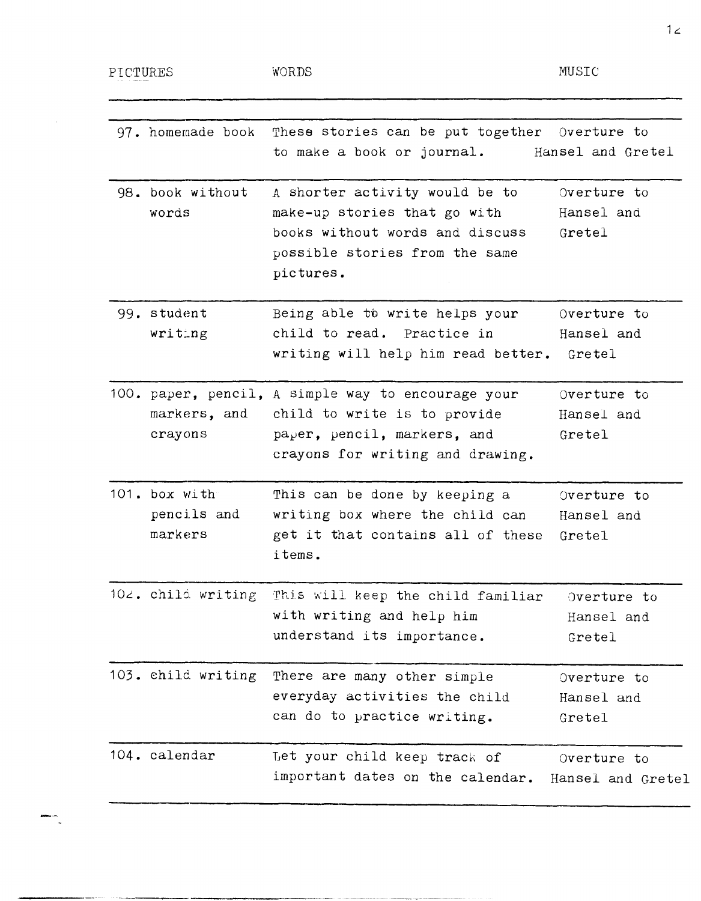PICTURES WORDS WORDS MUSIC

| 97. homemade book                       | These stories can be put together Overture to<br>to make a book or journal.                                                                           | Hansel and Gretel                   |
|-----------------------------------------|-------------------------------------------------------------------------------------------------------------------------------------------------------|-------------------------------------|
| 98. book without<br>words               | A shorter activity would be to<br>make-up stories that go with<br>books without words and discuss<br>possible stories from the same<br>pictures.      | Overture to<br>Hansel and<br>Gretel |
| 99. student<br>writing                  | Being able to write helps your<br>child to read. Practice in<br>writing will help him read better.                                                    | Overture to<br>Hansel and<br>Gretel |
| markers, and<br>crayons                 | 100. paper, pencil, A simple way to encourage your<br>child to write is to provide<br>paper, pencil, markers, and<br>crayons for writing and drawing. | Overture to<br>Hansel and<br>Gretel |
| 101. box with<br>pencils and<br>markers | This can be done by keeping a<br>writing box where the child can<br>get it that contains all of these<br>items.                                       | Overture to<br>Hansel and<br>Gretel |
| $102$ . child writing                   | This will keep the child familiar<br>with writing and help him<br>understand its importance.                                                          | Overture to<br>Hansel and<br>Gretel |
| 103. child writing                      | There are many other simple<br>everyday activities the child<br>can do to practice writing.                                                           | Overture to<br>Hansel and<br>Gretel |
| 104. calendar                           | Let your child keep track of<br>important dates on the calendar.                                                                                      | Overture to<br>Hansel and Gretel    |

 $12.$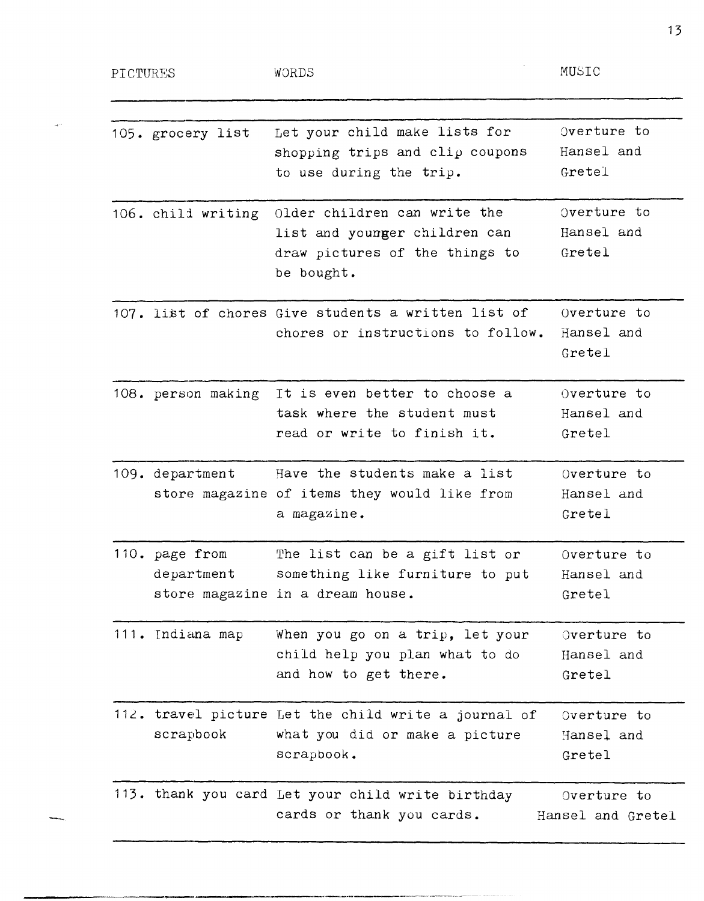PICTURES WORDS

 $\sigma_{\rm{max}}$ 

| 105. grocery list            | Let your child make lists for<br>shopping trips and clip coupons<br>to use during the trip.                    | Overture to<br>Hansel and<br>Gretel |
|------------------------------|----------------------------------------------------------------------------------------------------------------|-------------------------------------|
| 106. child writing           | Older children can write the<br>list and younger children can<br>draw pictures of the things to<br>be bought.  | Overture to<br>Hansel and<br>Gretel |
|                              | 107. list of chores Give students a written list of<br>chores or instructions to follow.                       | Overture to<br>Hansel and<br>Gretel |
|                              | 108. person making It is even better to choose a<br>task where the student must<br>read or write to finish it. | Overture to<br>Hansel and<br>Gretel |
| 109. department              | Have the students make a list<br>store magazine of items they would like from<br>a magazine.                   | Overture to<br>Hansel and<br>Gretel |
| 110. page from<br>department | The list can be a gift list or<br>something like furniture to put<br>store magazine in a dream house.          | Overture to<br>Hansel and<br>Gretel |
| 111. Indiana map             | When you go on a trip, let your<br>child help you plan what to do<br>and how to get there.                     | Overture to<br>Hansel and<br>Gretel |
| scrapbook                    | 112. travel picture Let the child write a journal of<br>what you did or make a picture<br>scrapbook.           | Overture to<br>Hansel and<br>Gretel |
|                              | 113. thank you card Let your child write birthday<br>cards or thank you cards.                                 | Overture to<br>Hansel and Gretel    |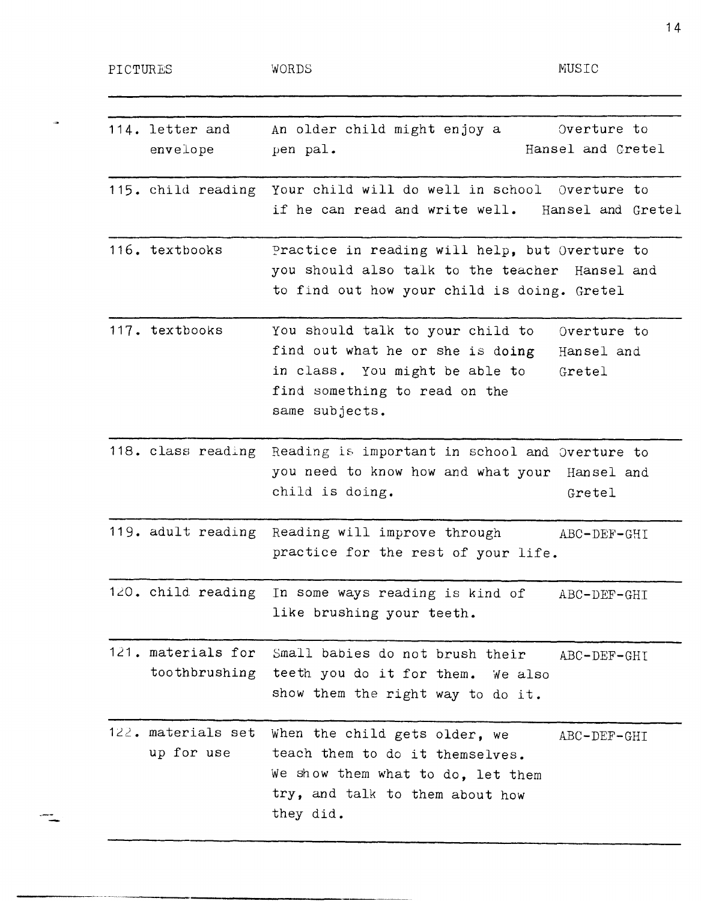| PICTURES |                                     | WORDS                                                                                                                                                     | MUSIC                               |
|----------|-------------------------------------|-----------------------------------------------------------------------------------------------------------------------------------------------------------|-------------------------------------|
|          | 114. letter and<br>envelope         | An older child might enjoy a<br>pen pal.                                                                                                                  | Overture to<br>Hansel and Cretel    |
|          | 115. child reading                  | Your child will do well in school Overture to<br>if he can read and write well.                                                                           | Hansel and Gretel                   |
|          | 116. textbooks                      | Practice in reading will help, but Overture to<br>you should also talk to the teacher Hansel and<br>to find out how your child is doing. Gretel           |                                     |
|          | 117. textbooks                      | You should talk to your child to<br>find out what he or she is doing<br>in class. You might be able to<br>find something to read on the<br>same subjects. | Overture to<br>Hansel and<br>Gretel |
|          |                                     | 118. class reading Reading is important in school and Overture to<br>you need to know how and what your Hansel and<br>child is doing.                     | Gretel                              |
|          |                                     | 119. adult reading Reading will improve through<br>practice for the rest of your life.                                                                    | ABC-DEF-GHI                         |
|          |                                     | 120. child reading In some ways reading is kind of<br>like brushing your teeth.                                                                           | ABC-DEF-GHI                         |
|          | 121. materials for<br>toothbrushing | Small babies do not brush their<br>teeth you do it for them. We also<br>show them the right way to do it.                                                 | ABC-DEF-GHI                         |
|          | 122. materials set<br>up for use    | When the child gets older, we<br>teach them to do it themselves.<br>We show them what to do, let them<br>try, and talk to them about how<br>they did.     | ABC-DEF-GHI                         |

 $\frac{1}{2}$ 

 $\frac{1}{\sqrt{2}}$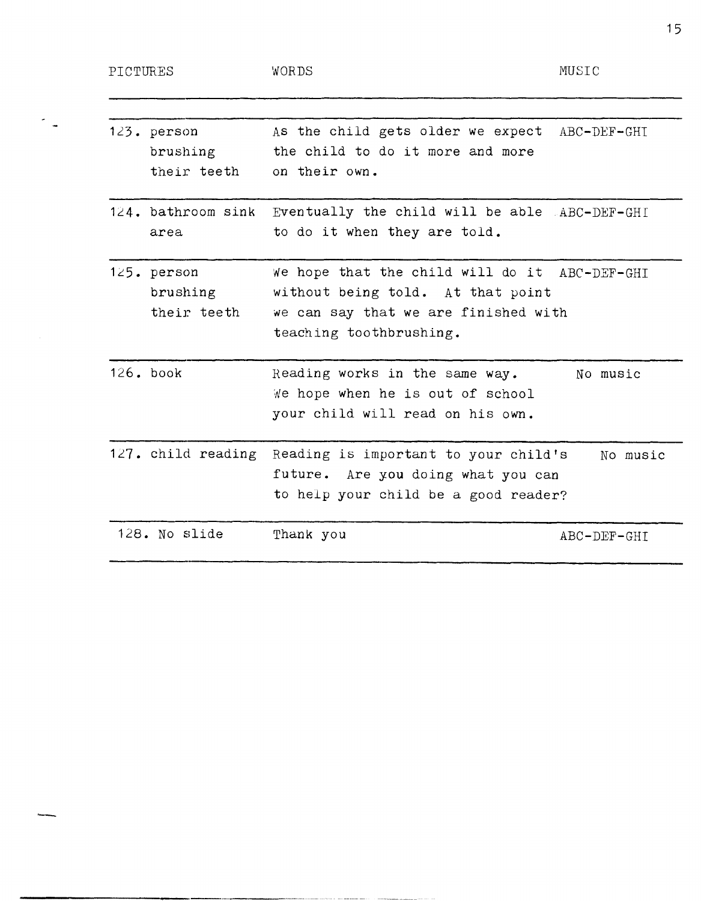-

| $123.$ person | As the child gets older we expect ABC-DEF-GHI |
|---------------|-----------------------------------------------|
| brushing      | the child to do it more and more              |
| their teeth   | on their own.                                 |
|               |                                               |

124. bathroom sink Eventually the child will be able ABC-DEF-GHI area to do it when they are told.

125. person brushing their teeth We hope that the child will do it ABC-DEF-GHI without being told. At that point we can say that we are finished with teaching toothbrushing.

126. book Reading works in the same way. We hope when he is out of school your child will read on his own. No music

127. child reading Reading is important to your child's future. Are you doing what you can to help your child be a good reader? No music

128. No slide Thank you ABC-DEF-GHI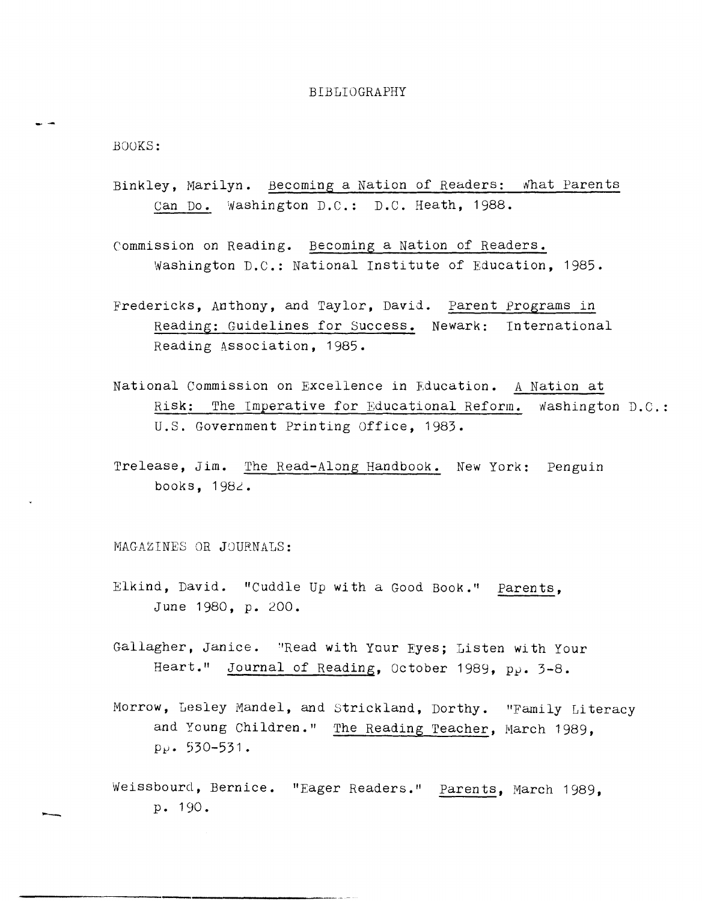## BIBLIOGRAPHY

BOOKS:

-. -

--

- Binkley, Marilyn. Becoming a Nation of Readers: what Parents Can Do. Washington D.C.: D.C. Heath, 1988.
- Commission on Reading. Becoming a Nation of Readers. Washington D.C.: National Institute of Education, 1985.
- Fredericks, Anthony, and Taylor, David. Parent Programs in Reading: Guidelines for Success. Newark: International Reading Association, 1985.
- National Commission on Excellence in Education. A Nation at Risk: The Imperative for Educational Reform. Washington D.C.: U.S. Government Printing Office, 1983.
- Trelease, Jim. The Read-Along Handbook. New York: Penguin books,  $1982.$

MAGAZINES OR JOURNALS:

------------------------------------------

- Elkind, David. "Cuddle Up with a Good Book." Parents, June 1980, p. 200.
- Gallagher, Janice. "Read with Your Eyes; Listen with Your Heart." Journal of Reading, October 1989,  $p_{\theta}$ . 3-8.
- Morrow, Lesley Mandel, and Strickland, Dorthy. "Family Li teracy and Young Children." The Reading Teacher, March 1989,  $p_{P}$ . 530-531.
- Weissbourd, Bernice. "Eager Readers." Parents, March 1989, p. 190.